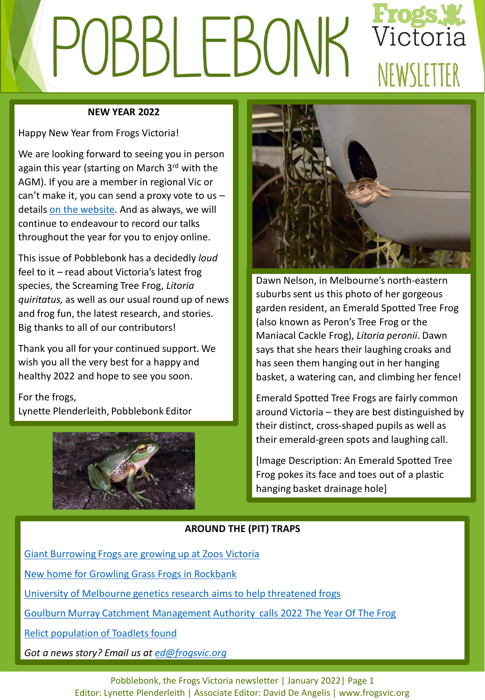# Victoria SBL EBUN NFWSIFTTFR

### **NEW YEAR 2022**

Happy New Year from Frogs Victoria!

We are looking forward to seeing you in person again this year (starting on March 3rd with the AGM). If you are a member in regional Vic or can't make it, you can send a proxy vote to us – details [on the website.](https://www.frogsvic.org/events) And as always, we will continue to endeavour to record our talks throughout the year for you to enjoy online.

This issue of Pobblebonk has a decidedly *loud* feel to it – read about Victoria's latest frog species, the Screaming Tree Frog, *Litoria quiritatus,* as well as our usual round up of news and frog fun, the latest research, and stories. Big thanks to all of our contributors!

Thank you all for your continued support. We wish you all the very best for a happy and healthy 2022 and hope to see you soon.

For the frogs, Lynette Plenderleith, Pobblebonk Editor





Dawn Nelson, in Melbourne's north-eastern suburbs sent us this photo of her gorgeous garden resident, an Emerald Spotted Tree Frog (also known as Peron's Tree Frog or the Maniacal Cackle Frog), *Litoria peronii*. Dawn says that she hears their laughing croaks and has seen them hanging out in her hanging basket, a watering can, and climbing her fence!

Emerald Spotted Tree Frogs are fairly common around Victoria – they are best distinguished by their distinct, cross-shaped pupils as well as their emerald-green spots and laughing call.

[Image Description: An Emerald Spotted Tree Frog pokes its face and toes out of a plastic hanging basket drainage hole]

# **AROUND THE (PIT) TRAPS**

[Giant Burrowing Frogs are growing up at Zoos Victoria](https://www.zoo.org.au/melbourne/whats-on/news/melbourne-zoo-frog-conservation-mission-has-got-legs/)

[New home for Growling Grass Frogs in Rockbank](https://www.environment.vic.gov.au/media-releases/new-wetland-growling-grass-frogs-can-call-)

[University of Melbourne genetics research aims to help threatened frogs](https://pursuit.unimelb.edu.au/articles/using-genetics-to-conserve-wildlife)

[Goulburn Murray Catchment Management Authority calls 2022 The Year Of The Frog](https://www.gbcma.vic.gov.au/news_events/hop-on-into-2022-to-learn-about-local-frogs.html)

[Relict population of Toadlets found](https://search.informit.org/doi/abs/10.3316/informit.225602348430603)

*Got a news story? Email us at [ed@frogsvic.org](mailto:ed@frogsvic.org)*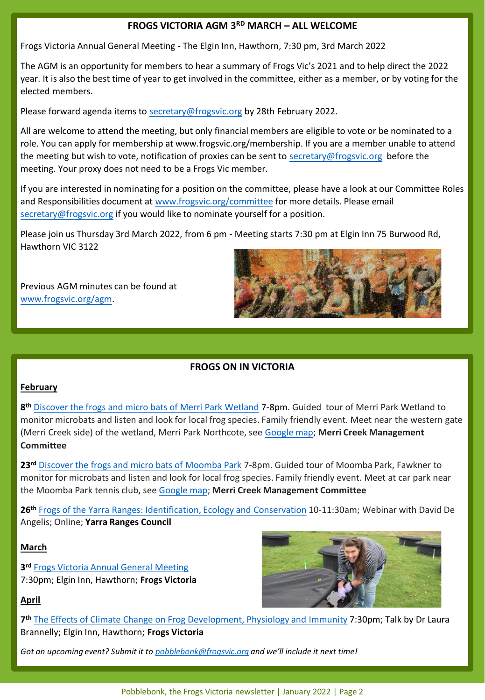# **FROGS VICTORIA AGM 3RD MARCH – ALL WELCOME**

Frogs Victoria Annual General Meeting - The Elgin Inn, Hawthorn, 7:30 pm, 3rd March 2022

The AGM is an opportunity for members to hear a summary of Frogs Vic's 2021 and to help direct the 2022 year. It is also the best time of year to get involved in the committee, either as a member, or by voting for the elected members.

Please forward agenda items to [secretary@frogsvic.org](mailto:secretary@frogsvic.org) by 28th February 2022.

All are welcome to attend the meeting, but only financial members are eligible to vote or be nominated to a role. You can apply for membership at www.frogsvic.org/membership. If you are a member unable to attend the meeting but wish to vote, notification of proxies can be sent to [secretary@frogsvic.org](mailto:secretary@frogsvic.org) before the meeting. Your proxy does not need to be a Frogs Vic member.

If you are interested in nominating for a position on the committee, please have a look at our Committee Roles and Responsibilities document at [www.frogsvic.org/committee](http://www.frogsvic.org/committee) for more details. Please email [secretary@frogsvic.org](mailto:secretary@frogsvic.org) if you would like to nominate yourself for a position.

Please join us Thursday 3rd March 2022, from 6 pm - Meeting starts 7:30 pm at Elgin Inn 75 Burwood Rd, Hawthorn VIC 3122

Previous AGM minutes can be found at [www.frogsvic.org/agm.](http://www.frogsvic.org/agm)



# **FROGS ON IN VICTORIA**

## **February**

**8 th** [Discover the frogs and micro bats of Merri Park Wetland](http://www.mcmc.org.au/) 7-8pm. Guided tour of Merri Park Wetland to monitor microbats and listen and look for local frog species. Family friendly event. Meet near the western gate (Merri Creek side) of the wetland, Merri Park Northcote, see [Google map](https://goo.gl/maps/K8dwnpEkBhG6sdqt9); **Merri Creek Management Committee**

**23rd** [Discover the frogs and micro bats of Moomba Park](http://www.mcmc.org.au/) 7-8pm. Guided tour of Moomba Park, Fawkner to monitor for microbats and listen and look for local frog species. Family friendly event. Meet at car park near the Moomba Park tennis club, see [Google map](https://goo.gl/maps/H9X6hcf96V757NZu8); **Merri Creek Management Committee**

**26th** [Frogs of the Yarra Ranges: Identification, Ecology and Conservation](https://www.yarraranges.vic.gov.au/Experience/Events/Frogs-of-the-Yarra-Ranges-Identification-Ecology-and-Conservation?BestBetMatch=frogs|af4903f8-d4c9-417e-8a51-33b39150fdf4|4b259a89-a329-4042-805b-6a0d5a6f8523|en-AU) 10-11:30am; Webinar with David De Angelis; Online; **Yarra Ranges Council**

#### **March**

**3 rd** [Frogs Victoria Annual General Meeting](https://www.frogsvic.org/events) 7:30pm; Elgin Inn, Hawthorn; **Frogs Victoria**



## **April**

**7 th** [The Effects of Climate Change on Frog Development, Physiology and Immunity](https://www.frogsvic.org/events) 7:30pm; Talk by Dr Laura Brannelly; Elgin Inn, Hawthorn; **Frogs Victoria**

*Got an upcoming event? Submit it to [pobblebonk@frogsvic.org](mailto:pobblebonk@frogsvic.org) and we'll include it next time!*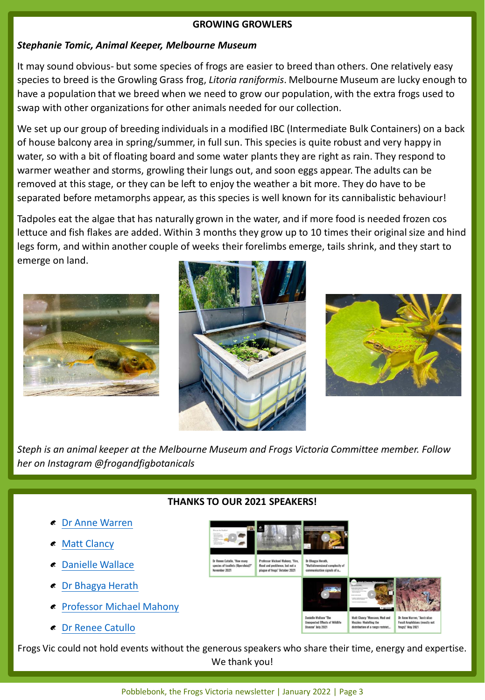### **GROWING GROWLERS**

## *Stephanie Tomic, Animal Keeper, Melbourne Museum*

It may sound obvious- but some species of frogs are easier to breed than others. One relatively easy species to breed is the Growling Grass frog, *Litoria raniformis*. Melbourne Museum are lucky enough to have a population that we breed when we need to grow our population, with the extra frogs used to swap with other organizations for other animals needed for our collection.

We set up our group of breeding individuals in a modified IBC (Intermediate Bulk Containers) on a back of house balcony area in spring/summer, in full sun. This species is quite robust and very happy in water, so with a bit of floating board and some water plants they are right as rain. They respond to warmer weather and storms, growling their lungs out, and soon eggs appear. The adults can be removed at this stage, or they can be left to enjoy the weather a bit more. They do have to be separated before metamorphs appear, as this species is well known for its cannibalistic behaviour!

Tadpoles eat the algae that has naturally grown in the water, and if more food is needed frozen cos lettuce and fish flakes are added. Within 3 months they grow up to 10 times their original size and hind legs form, and within another couple of weeks their forelimbs emerge, tails shrink, and they start to emerge on land.







*Steph is an animal keeper at the Melbourne Museum and Frogs Victoria Committee member. Follow her on Instagram @frogandfigbotanicals*

# **THANKS TO OUR 2021 SPEAKERS!**

species of toadlets (Uperoli

.<br>Dr Bhagya Herath,<br>'Multidimensional

nal complexity of

sor Michael Mahony, "Fire

flood and pestilence, but not a<br>plague of frogs" October 2021

- [Dr Anne Warren](https://www.frogsvic.org/post/dr-anne-warren-australian-fossil-amphibians-mostly-not-frogs-may-2021)
- [Matt Clancy](https://www.frogsvic.org/post/matt-clancy-monsoon-mud-and-mozzies-modelling-the-distribution-of-a-range-restricted-frog)
- [Danielle Wallace](https://www.frogsvic.org/post/danielle-wallace)
- [Dr Bhagya Herath](https://www.frogsvic.org/post/dr-bhagya-herath-complexity-of-visual-and-vocal-communication-september-2021)
- $\triangle$  [Professor Michael Mahony](https://www.frogsvic.org/post/professor-michael-mahony-fire-flood-and-pestilence-but-not-a-plague-of-frogs-october-2021)
- [Dr Renee Catullo](https://www.frogsvic.org/post/dr-renee-catullo-how-many-species-of-uperoleia-november-2021)

Frogs Vic could not hold events without the generous speakers who share their time, energy and expertise. We thank you!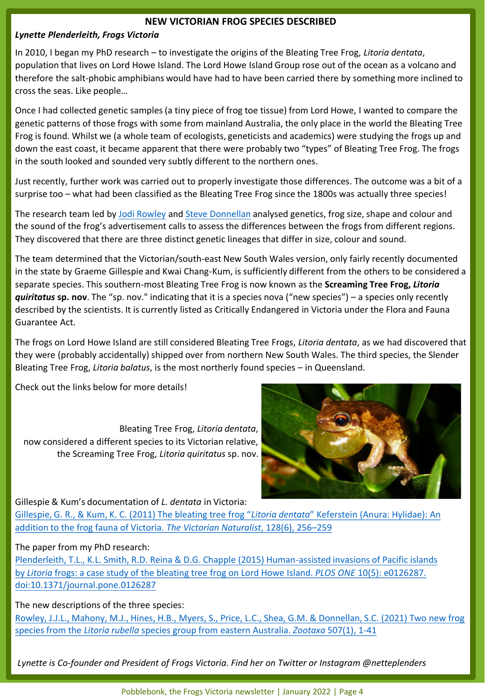#### **NEW VICTORIAN FROG SPECIES DESCRIBED**

#### *Lynette Plenderleith, Frogs Victoria*

In 2010, I began my PhD research – to investigate the origins of the Bleating Tree Frog, *Litoria dentata*, population that lives on Lord Howe Island. The Lord Howe Island Group rose out of the ocean as a volcano and therefore the salt-phobic amphibians would have had to have been carried there by something more inclined to cross the seas. Like people…

Once I had collected genetic samples (a tiny piece of frog toe tissue) from Lord Howe, I wanted to compare the genetic patterns of those frogs with some from mainland Australia, the only place in the world the Bleating Tree Frog is found. Whilst we (a whole team of ecologists, geneticists and academics) were studying the frogs up and down the east coast, it became apparent that there were probably two "types" of Bleating Tree Frog. The frogs in the south looked and sounded very subtly different to the northern ones.

Just recently, further work was carried out to properly investigate those differences. The outcome was a bit of a surprise too – what had been classified as the Bleating Tree Frog since the 1800s was actually three species!

The research team led by [Jodi Rowley](http://jodirowley.com/) and [Steve Donnellan](https://scholar.google.com.au/citations?user=OgUw_RYAAAAJ&hl=en) analysed genetics, frog size, shape and colour and the sound of the frog's advertisement calls to assess the differences between the frogs from different regions. They discovered that there are three distinct genetic lineages that differ in size, colour and sound.

The team determined that the Victorian/south-east New South Wales version, only fairly recently documented in the state by Graeme Gillespie and Kwai Chang-Kum, is sufficiently different from the others to be considered a separate species. This southern-most Bleating Tree Frog is now known as the **Screaming Tree Frog,** *Litoria quiritatus* **sp. nov**. The "sp. nov." indicating that it is a species nova ("new species") – a species only recently described by the scientists. It is currently listed as Critically Endangered in Victoria under the Flora and Fauna Guarantee Act.

The frogs on Lord Howe Island are still considered Bleating Tree Frogs, *Litoria dentata*, as we had discovered that they were (probably accidentally) shipped over from northern New South Wales. The third species, the Slender Bleating Tree Frog, *Litoria balatus*, is the most northerly found species – in Queensland.

Check out the links below for more details!

Bleating Tree Frog, *Litoria dentata*, now considered a different species to its Victorian relative, the Screaming Tree Frog, *Litoria quiritatus* sp. nov.



#### Gillespie & Kum's documentation of *L. dentata* in Victoria:

Gillespie, G. R., & Kum, K. C. (2011) The bleating tree frog "*Litoria dentata*" Keferstein (Anura: Hylidae): An [addition to the frog fauna of Victoria.](https://search.informit.org/doi/10.3316/informit.949550143247355) *The Victorian Naturalist*, 128(6), 256–259

#### The paper from my PhD research:

[Plenderleith, T.L., K.L. Smith, R.D. Reina & D.G. Chapple \(2015\) Human-assisted invasions of Pacific islands](http://journals.plos.org/plosone/article?id=10.1371/journal.pone.0126287)  by *Litoria* frogs: a case study of the bleating tree frog on Lord Howe Island. *PLOS ONE* 10(5): e0126287. doi:10.1371/journal.pone.0126287

The new descriptions of the three species:

[Rowley, J.J.L., Mahony, M.J., Hines, H.B., Myers, S., Price, L.C., Shea, G.M. & Donnellan, S.C. \(2021\) Two new frog](https://mapress.com/zt/article/view/zootaxa.5071.1.1)  species from the *Litoria rubella* species group from eastern Australia. *Zootaxa* 507(1), 1-41

*Lynette is Co-founder and President of Frogs Victoria. Find her on Twitter or Instagram @netteplenders* 

Pobblebonk, the Frogs Victoria newsletter | January 2022 | Page 4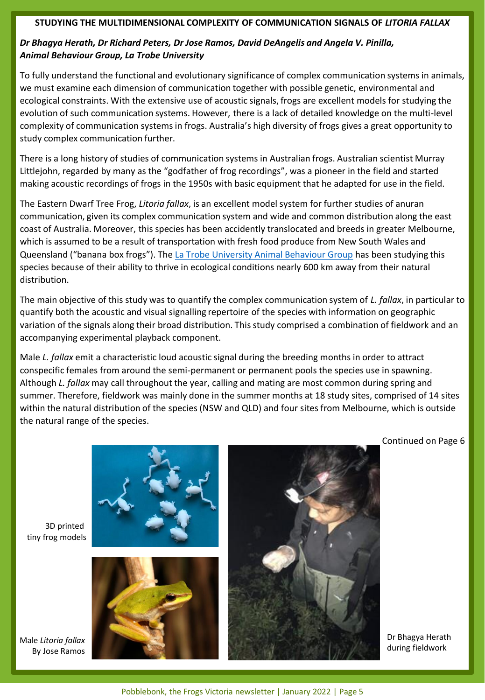#### **STUDYING THE MULTIDIMENSIONAL COMPLEXITY OF COMMUNICATION SIGNALS OF** *LITORIA FALLAX*

# *Dr Bhagya Herath, Dr Richard Peters, Dr Jose Ramos, David DeAngelis and Angela V. Pinilla, Animal Behaviour Group, La Trobe University*

To fully understand the functional and evolutionary significance of complex communication systems in animals, we must examine each dimension of communication together with possible genetic, environmental and ecological constraints. With the extensive use of acoustic signals, frogs are excellent models for studying the evolution of such communication systems. However, there is a lack of detailed knowledge on the multi-level complexity of communication systems in frogs. Australia's high diversity of frogs gives a great opportunity to study complex communication further.

There is a long history of studies of communication systems in Australian frogs. Australian scientist Murray Littlejohn, regarded by many as the "godfather of frog recordings", was a pioneer in the field and started making acoustic recordings of frogs in the 1950s with basic equipment that he adapted for use in the field.

The Eastern Dwarf Tree Frog, *Litoria fallax*, is an excellent model system for further studies of anuran communication, given its complex communication system and wide and common distribution along the east coast of Australia. Moreover, this species has been accidently translocated and breeds in greater Melbourne, which is assumed to be a result of transportation with fresh food produce from New South Wales and Queensland ("banana box frogs"). The [La Trobe University Animal Behaviour Group](http://www.abg.eriophora.com.au/) has been studying this species because of their ability to thrive in ecological conditions nearly 600 km away from their natural distribution.

The main objective of this study was to quantify the complex communication system of *L. fallax*, in particular to quantify both the acoustic and visual signalling repertoire of the species with information on geographic variation of the signals along their broad distribution. This study comprised a combination of fieldwork and an accompanying experimental playback component.

Male *L. fallax* emit a characteristic loud acoustic signal during the breeding months in order to attract conspecific females from around the semi-permanent or permanent pools the species use in spawning. Although *L. fallax* may call throughout the year, calling and mating are most common during spring and summer. Therefore, fieldwork was mainly done in the summer months at 18 study sites, comprised of 14 sites within the natural distribution of the species (NSW and QLD) and four sites from Melbourne, which is outside the natural range of the species.

Continued on Page 6

3D printed tiny frog models





Dr Bhagya Herath during fieldwork

Male *Litoria fallax* By Jose Ramos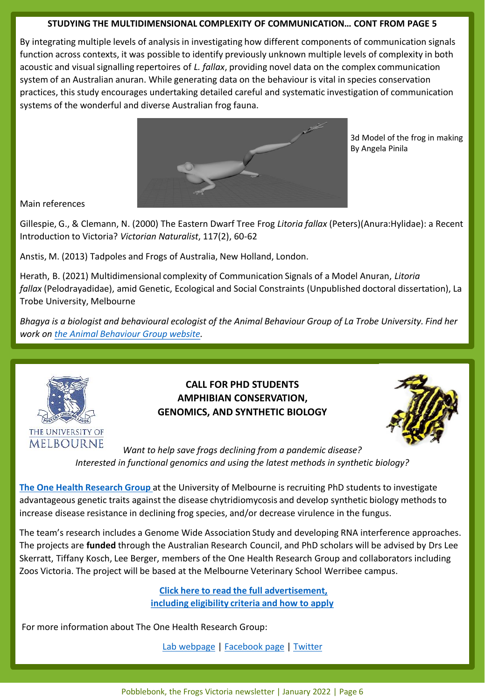## **STUDYING THE MULTIDIMENSIONAL COMPLEXITY OF COMMUNICATION… CONT FROM PAGE 5**

By integrating multiple levels of analysis in investigating how different components of communication signals function across contexts, it was possible to identify previously unknown multiple levels of complexity in both acoustic and visual signalling repertoires of *L. fallax*, providing novel data on the complex communication system of an Australian anuran. While generating data on the behaviour is vital in species conservation practices, this study encourages undertaking detailed careful and systematic investigation of communication systems of the wonderful and diverse Australian frog fauna.



3d Model of the frog in making By Angela Pinila

Main references

Gillespie, G., & Clemann, N. (2000) The Eastern Dwarf Tree Frog *Litoria fallax* (Peters)(Anura:Hylidae): a Recent Introduction to Victoria? *Victorian Naturalist*, 117(2), 60-62

Anstis, M. (2013) Tadpoles and Frogs of Australia, New Holland, London.

Herath, B. (2021) Multidimensional complexity of Communication Signals of a Model Anuran, *Litoria fallax* (Pelodrayadidae), amid Genetic, Ecological and Social Constraints (Unpublished doctoral dissertation), La Trobe University, Melbourne

*Bhagya is a biologist and behavioural ecologist of the Animal Behaviour Group of La Trobe University. Find her work on [the Animal Behaviour Group website](http://www.abg.eriophora.com.au/).*



# **CALL FOR PHD STUDENTS AMPHIBIAN CONSERVATION, GENOMICS, AND SYNTHETIC BIOLOGY**



*Want to help save frogs declining from a pandemic disease? Interested in functional genomics and using the latest methods in synthetic biology?*

**[The One Health Research Group](https://fvas.unimelb.edu.au/research/groups/one-health-research-group)** at the University of Melbourne is recruiting PhD students to investigate advantageous genetic traits against the disease chytridiomycosis and develop synthetic biology methods to increase disease resistance in declining frog species, and/or decrease virulence in the fungus.

The team's research includes a Genome Wide Association Study and developing RNA interference approaches. The projects are **funded** through the Australian Research Council, and PhD scholars will be advised by Drs Lee Skerratt, Tiffany Kosch, Lee Berger, members of the One Health Research Group and collaborators including Zoos Victoria. The project will be based at the Melbourne Veterinary School Werribee campus.

> **[Click here to read the full advertisement,](https://www.dropbox.com/s/s7fw793lby68p5e/Call%20for%20PhD%20Position%20in%20Amphibian%20Conservation%2C%20Genomics%2C%20and%20Synthetic%20Biology%202022.pdf?dl=0)  [including eligibility criteria and how to apply](https://www.dropbox.com/s/s7fw793lby68p5e/Call%20for%20PhD%20Position%20in%20Amphibian%20Conservation%2C%20Genomics%2C%20and%20Synthetic%20Biology%202022.pdf?dl=0)**

For more information about The One Health Research Group:

[Lab webpage](https://blogs.unimelb.edu.au/one-health-research) | [Facebook page](http://www.facebook.com/pg/onehealthresearchgroup) | [Twitter](https://twitter.com/OneHealthRes)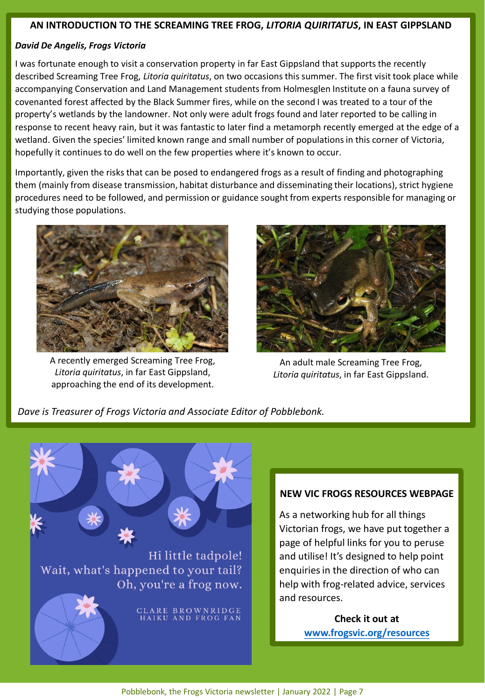## **AN INTRODUCTION TO THE SCREAMING TREE FROG,** *LITORIA QUIRITATUS***, IN EAST GIPPSLAND**

# *David De Angelis, Frogs Victoria*

I was fortunate enough to visit a conservation property in far East Gippsland that supports the recently described Screaming Tree Frog, *Litoria quiritatus*, on two occasions this summer. The first visit took place while accompanying Conservation and Land Management students from Holmesglen Institute on a fauna survey of covenanted forest affected by the Black Summer fires, while on the second I was treated to a tour of the property's wetlands by the landowner. Not only were adult frogs found and later reported to be calling in response to recent heavy rain, but it was fantastic to later find a metamorph recently emerged at the edge of a wetland. Given the species' limited known range and small number of populations in this corner of Victoria, hopefully it continues to do well on the few properties where it's known to occur.

Importantly, given the risks that can be posed to endangered frogs as a result of finding and photographing them (mainly from disease transmission, habitat disturbance and disseminating their locations), strict hygiene procedures need to be followed, and permission or guidance sought from experts responsible for managing or studying those populations.



A recently emerged Screaming Tree Frog, *Litoria quiritatus*, in far East Gippsland, approaching the end of its development.



An adult male Screaming Tree Frog, *Litoria quiritatus*, in far East Gippsland.

*Dave is Treasurer of Frogs Victoria and Associate Editor of Pobblebonk.*



CLARE BROWNRIDGE<br>HAIKU AND FROG FAN

## **NEW VIC FROGS RESOURCES WEBPAGE**

As a networking hub for all things Victorian frogs, we have put together a page of helpful links for you to peruse and utilise! It's designed to help point enquiries in the direction of who can help with frog-related advice, services and resources.

> **Check it out at [www.frogsvic.org/resources](http://www.frogsvic.org/resources)**